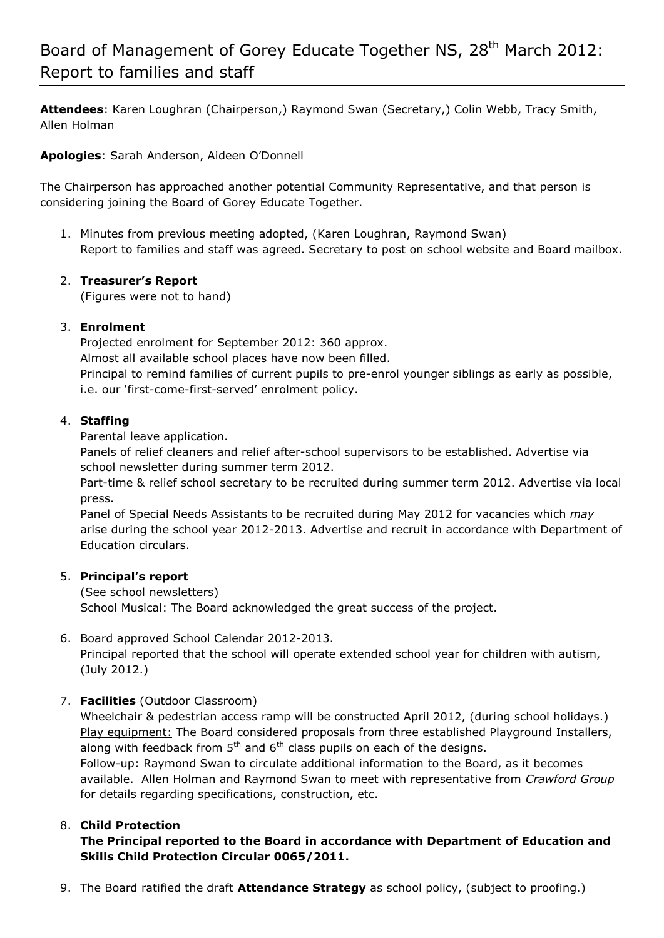**Attendees**: Karen Loughran (Chairperson,) Raymond Swan (Secretary,) Colin Webb, Tracy Smith, Allen Holman

**Apologies**: Sarah Anderson, Aideen O'Donnell

The Chairperson has approached another potential Community Representative, and that person is considering joining the Board of Gorey Educate Together.

1. Minutes from previous meeting adopted, (Karen Loughran, Raymond Swan) Report to families and staff was agreed. Secretary to post on school website and Board mailbox.

## 2. **Treasurer's Report**

(Figures were not to hand)

### 3. **Enrolment**

Projected enrolment for September 2012: 360 approx. Almost all available school places have now been filled. Principal to remind families of current pupils to pre-enrol younger siblings as early as possible, i.e. our 'first-come-first-served' enrolment policy.

## 4. **Staffing**

Parental leave application.

Panels of relief cleaners and relief after-school supervisors to be established. Advertise via school newsletter during summer term 2012.

Part-time & relief school secretary to be recruited during summer term 2012. Advertise via local press.

Panel of Special Needs Assistants to be recruited during May 2012 for vacancies which *may* arise during the school year 2012-2013. Advertise and recruit in accordance with Department of Education circulars.

### 5. **Principal's report**

(See school newsletters) School Musical: The Board acknowledged the great success of the project.

### 6. Board approved School Calendar 2012-2013.

Principal reported that the school will operate extended school year for children with autism, (July 2012.)

# 7. **Facilities** (Outdoor Classroom)

Wheelchair & pedestrian access ramp will be constructed April 2012, (during school holidays.) Play equipment: The Board considered proposals from three established Playground Installers, along with feedback from  $5<sup>th</sup>$  and  $6<sup>th</sup>$  class pupils on each of the designs. Follow-up: Raymond Swan to circulate additional information to the Board, as it becomes available. Allen Holman and Raymond Swan to meet with representative from *Crawford Group* for details regarding specifications, construction, etc.

# 8. **Child Protection**

## **The Principal reported to the Board in accordance with Department of Education and Skills Child Protection Circular 0065/2011.**

9. The Board ratified the draft **Attendance Strategy** as school policy, (subject to proofing.)